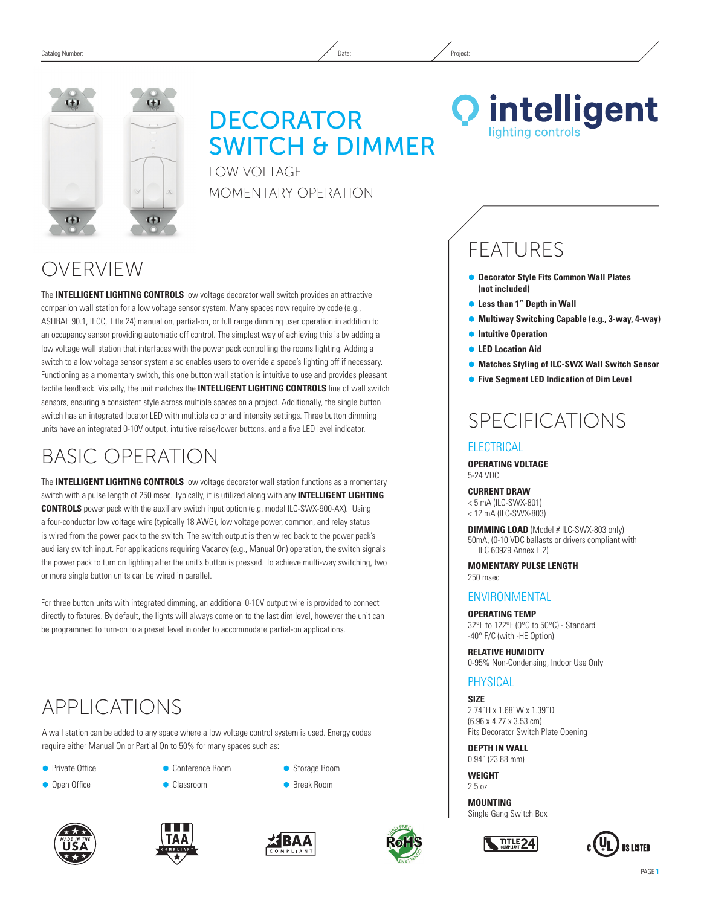

# **DECORATOR** SWITCH & DIMMER

Low Voltage Momentary Operation



## OVERVIEW

The **INTELLIGENT LIGHTING CONTROLS** low voltage decorator wall switch provides an attractive companion wall station for a low voltage sensor system. Many spaces now require by code (e.g., ASHRAE 90.1, IECC, Title 24) manual on, partial-on, or full range dimming user operation in addition to an occupancy sensor providing automatic off control. The simplest way of achieving this is by adding a low voltage wall station that interfaces with the power pack controlling the rooms lighting. Adding a switch to a low voltage sensor system also enables users to override a space's lighting off if necessary. Functioning as a momentary switch, this one button wall station is intuitive to use and provides pleasant tactile feedback. Visually, the unit matches the **INTELLIGENT LIGHTING CONTROLS** line of wall switch sensors, ensuring a consistent style across multiple spaces on a project. Additionally, the single button switch has an integrated locator LED with multiple color and intensity settings. Three button dimming units have an integrated 0-10V output, intuitive raise/lower buttons, and a five LED level indicator.

## Basic Operation

The **INTELLIGENT LIGHTING CONTROLS** low voltage decorator wall station functions as a momentary switch with a pulse length of 250 msec. Typically, it is utilized along with any **INTELLIGENT LIGHTING CONTROLS** power pack with the auxiliary switch input option (e.g. model ILC-SWX-900-AX). Using a four-conductor low voltage wire (typically 18 AWG), low voltage power, common, and relay status is wired from the power pack to the switch. The switch output is then wired back to the power pack's auxiliary switch input. For applications requiring Vacancy (e.g., Manual On) operation, the switch signals the power pack to turn on lighting after the unit's button is pressed. To achieve multi-way switching, two or more single button units can be wired in parallel.

For three button units with integrated dimming, an additional 0-10V output wire is provided to connect directly to fixtures. By default, the lights will always come on to the last dim level, however the unit can be programmed to turn-on to a preset level in order to accommodate partial-on applications.

## APPLICATIONS

A wall station can be added to any space where a low voltage control system is used. Energy codes require either Manual On or Partial On to 50% for many spaces such as:

- **•** Private Office
- **Open Office**
- Ã Conference Room **Classroom**
- Storage Room
	- Ã Break Room







# **FFATURES**

- Ã **Decorator Style Fits Common Wall Plates (not included)**
- **Less than 1" Depth in Wall**
- Ã **Multiway Switching Capable (e.g., 3-way, 4-way)**
- $\bullet$  Intuitive Operation
- Ã **LED Location Aid**
- **Matches Styling of ILC-SWX Wall Switch Sensor**
- Ã **Five Segment LED Indication of Dim Level**

## SPECIFICATIONS

### **ELECTRICAL**

**Operating Voltage** 5-24 VDC

#### **CURRENT DRAW** < 5 mA (ILC-SWX-801) < 12 mA (ILC-SWX-803)

**Dimming LOAD** (Model # ILC-SWX-803 only) 50mA, (0-10 VDC ballasts or drivers compliant with IEC 60929 Annex E.2)

**mOMENTARY PULSE LENGTH** 250 msec

### **ENVIRONMENTAL**

**Operating Temp** 32°F to 122°F (0°C to 50°C) - Standard -40° F/C (with -HE Option)

**Relative Humidity** 0-95% Non-Condensing, Indoor Use Only

### **PHYSICAL**

**Size** 2.74"H x 1.68"W x 1.39"D (6.96 x 4.27 x 3.53 cm) Fits Decorator Switch Plate Opening

**Depth IN Wall** 0.94" (23.88 mm)

**Weight** 2.5 oz

**Mounting** Single Gang Switch Box



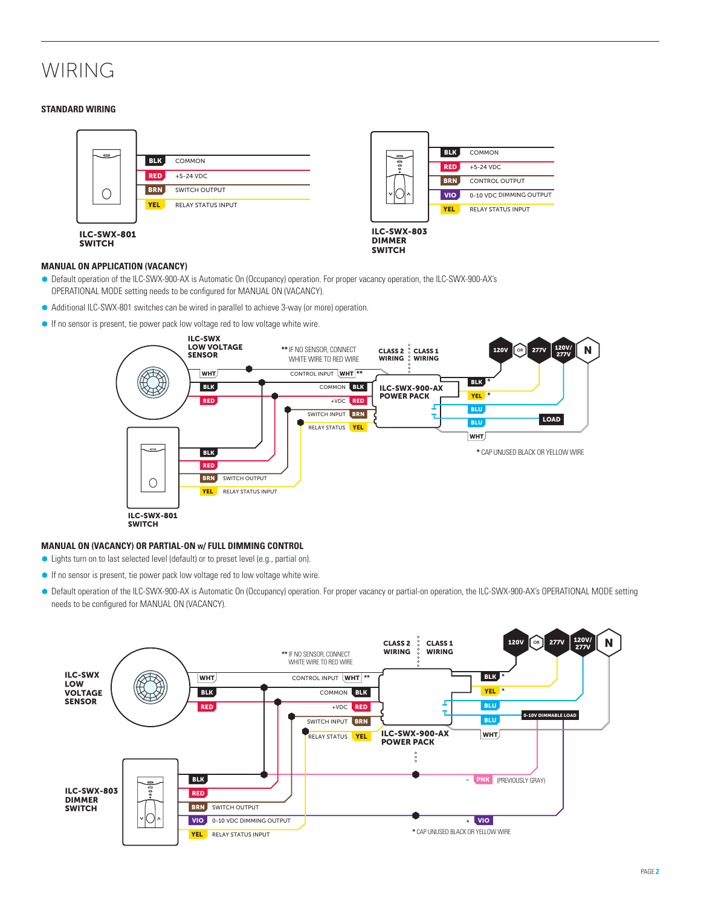## WIRING

#### **Standard Wiring**



#### **Manual On Application (vacancy)**

- Ã Default operation of the ILC-SWX-900-AX is Automatic On (Occupancy) operation. For proper vacancy operation, the ILC-SWX-900-AX's OPERATIONAL MODE setting needs to be configured for MANUAL ON (VACANCY).
- Additional ILC-SWX-801 switches can be wired in parallel to achieve 3-way (or more) operation.
- **If no sensor is present, tie power pack low voltage red to low voltage white wire.**



#### **Manual On (Vacancy) or PARTIAL-On <sup>w</sup>/ Full Dimming Control**

- Lights turn on to last selected level (default) or to preset level (e.g., partial on).
- Ã If no sensor is present, tie power pack low voltage red to low voltage white wire.
- Ã Default operation of the ILC-SWX-900-AX is Automatic On (Occupancy) operation. For proper vacancy or partial-on operation, the ILC-SWX-900-AX's OPERATIONAL MODE setting needs to be configured for MANUAL ON (VACANCY).

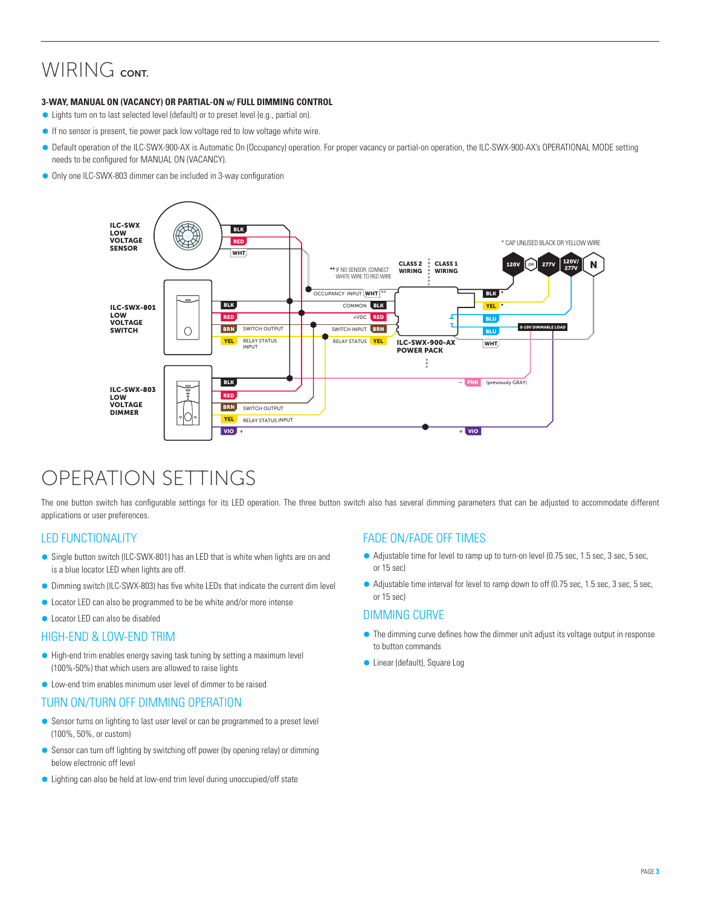### WIRING CONT.

#### **3-wAY, Manual On (Vacancy) or PARTIAL-On w/ Full Dimming Control**

- Ã Lights turn on to last selected level (default) or to preset level (e.g., partial on).
- **•** If no sensor is present, tie power pack low voltage red to low voltage white wire.
- Ã Default operation of the ILC-SWX-900-AX is Automatic On (Occupancy) operation. For proper vacancy or partial-on operation, the ILC-SWX-900-AX's OPERATIONAL MODE setting needs to be configured for MANUAL ON (VACANCY).
- Only one ILC-SWX-803 dimmer can be included in 3-way configuration



## OPERATION SETTINGS

The one button switch has configurable settings for its LED operation. The three button switch also has several dimming parameters that can be adjusted to accommodate different applications or user preferences.

### LED Functionality

- Single button switch (ILC-SWX-801) has an LED that is white when lights are on and is a blue locator LED when lights are off.
- $\bullet$  Dimming switch (ILC-SWX-803) has five white LEDs that indicate the current dim level
- Ã Locator LED can also be programmed to be be white and/or more intense
- **C** Locator LED can also be disabled

### High-END & LOW-END TRIM

- High-end trim enables energy saving task tuning by setting a maximum level (100%-50%) that which users are allowed to raise lights
- **Low-end trim enables minimum user level of dimmer to be raised**

### TURN ON/TURN OFF DIMMING OPERATION

- Sensor turns on lighting to last user level or can be programmed to a preset level (100%, 50%, or custom)
- **•** Sensor can turn off lighting by switching off power (by opening relay) or dimming below electronic off level
- Lighting can also be held at low-end trim level during unoccupied/off state

### FADE on/FADE OFF TiMES

- Adjustable time for level to ramp up to turn-on level (0.75 sec, 1.5 sec, 3 sec, 5 sec, or 15 sec)
- Adjustable time interval for level to ramp down to off (0.75 sec, 1.5 sec, 3 sec, 5 sec, or 15 sec)

### DIMMING CURVE

- $\bullet$  The dimming curve defines how the dimmer unit adjust its voltage output in response to button commands
- **C** Linear (default), Square Log